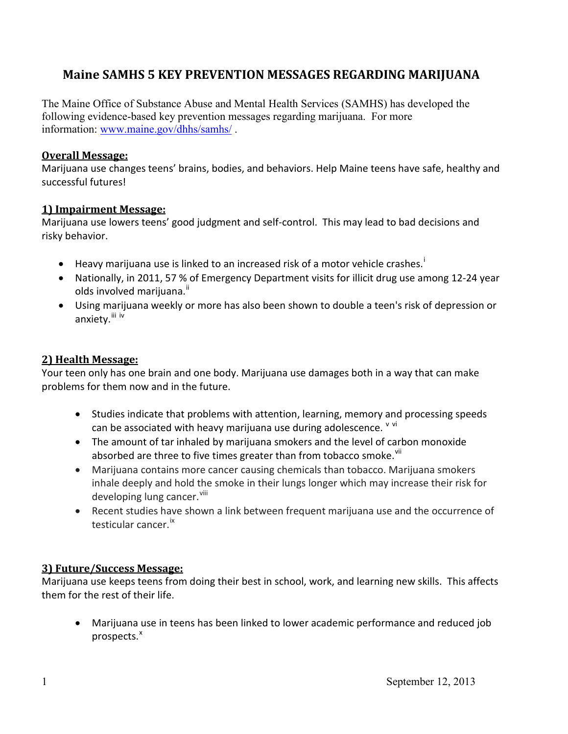# **Maine SAMHS 5 KEY PREVENTION MESSAGES REGARDING MARIJUANA**

The Maine Office of Substance Abuse and Mental Health Services (SAMHS) has developed the following evidence-based key prevention messages regarding marijuana. For more information: www.maine.gov/dhhs/samhs/ .

#### **Overall Message:**

Marijuana use changes teens' brains, bodies, and behaviors. Help Maine teens have safe, healthy and successful futures!

### **1) Impairment Message:**

Marijuana use lowers teens' good judgment and self-control. This may lead to bad decisions and risky behavior.

- Heavy marijuana use is linked to an increased risk of a motor vehicle crashes.<sup>i</sup>
- Nationally, in 2011, 57 % of Emergency Department visits for illicit drug use among 12-24 year olds involved marijuana.<sup>ii</sup>
- Using marijuana weekly or more has also been shown to double a teen's risk of depression or anxiety. <sup>iii iv</sup>

### **2) Health Message:**

Your teen only has one brain and one body. Marijuana use damages both in a way that can make problems for them now and in the future.

- Studies indicate that problems with attention, learning, memory and processing speeds can be associated with heavy marijuana use during adolescence. V vi
- The amount of tar inhaled by marijuana smokers and the level of carbon monoxide absorbed are three to five times greater than from tobacco smoke.<sup>VII</sup>
- Marijuana contains more cancer causing chemicals than tobacco. Marijuana smokers inhale deeply and hold the smoke in their lungs longer which may increase their risk for developing lung cancer. <sup>viii</sup>
- Recent studies have shown a link between frequent marijuana use and the occurrence of testicular cancer.<sup>ix</sup>

## **3) Future/Success Message:**

Marijuana use keeps teens from doing their best in school, work, and learning new skills. This affects them for the rest of their life.

• Marijuana use in teens has been linked to lower academic performance and reduced job prospects.<sup>x</sup>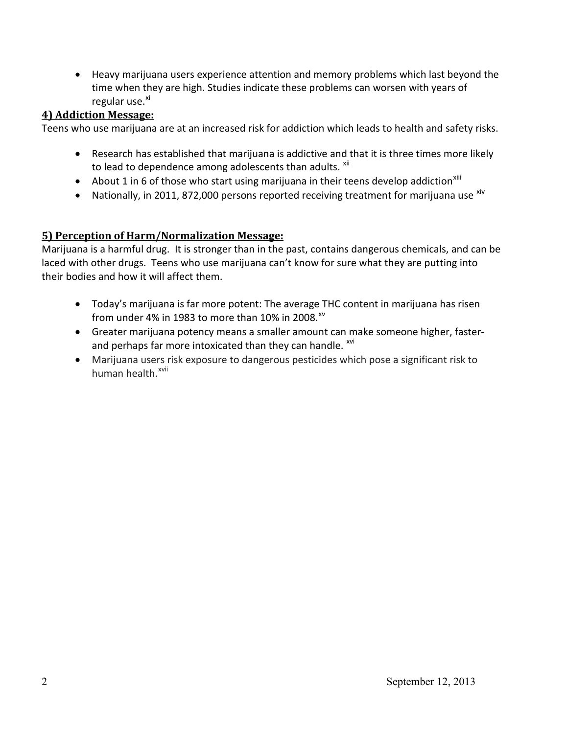• Heavy marijuana users experience attention and memory problems which last beyond the time when they are high. Studies indicate these problems can worsen with years of regular use. $^{x_1}$ 

# **4) Addiction Message:**

Teens who use marijuana are at an increased risk for addiction which leads to health and safety risks.

- Research has established that marijuana is addictive and that it is three times more likely to lead to dependence among adolescents than adults.  $xii$
- About 1 in 6 of those who start using marijuana in their teens develop addiction<sup>xiii</sup>
- Nationally, in 2011, 872,000 persons reported receiving treatment for marijuana use  $\frac{x}{y}$

# **5) Perception of Harm/Normalization Message:**

Marijuana is a harmful drug. It is stronger than in the past, contains dangerous chemicals, and can be laced with other drugs. Teens who use marijuana can't know for sure what they are putting into their bodies and how it will affect them.

- Today's marijuana is far more potent: The average THC content in marijuana has risen from under 4% in 1983 to more than 10% in 2008. $^{xy}$
- Greater marijuana potency means a smaller amount can make someone higher, fasterand perhaps far more intoxicated than they can handle. <sup>xvi</sup>
- x Marijuana users risk exposure to dangerous pesticides which pose a significant risk to human health.<sup>xvii</sup>